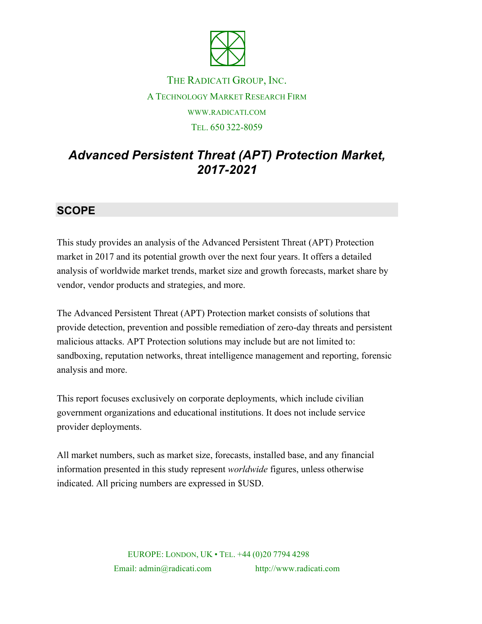

# THE RADICATI GROUP, INC. A TECHNOLOGY MARKET RESEARCH FIRM WWW.RADICATI.COM TEL. 650 322-8059

# *Advanced Persistent Threat (APT) Protection Market, 2017-2021*

## **SCOPE**

This study provides an analysis of the Advanced Persistent Threat (APT) Protection market in 2017 and its potential growth over the next four years. It offers a detailed analysis of worldwide market trends, market size and growth forecasts, market share by vendor, vendor products and strategies, and more.

The Advanced Persistent Threat (APT) Protection market consists of solutions that provide detection, prevention and possible remediation of zero-day threats and persistent malicious attacks. APT Protection solutions may include but are not limited to: sandboxing, reputation networks, threat intelligence management and reporting, forensic analysis and more.

This report focuses exclusively on corporate deployments, which include civilian government organizations and educational institutions. It does not include service provider deployments.

All market numbers, such as market size, forecasts, installed base, and any financial information presented in this study represent *worldwide* figures, unless otherwise indicated. All pricing numbers are expressed in \$USD.

> EUROPE: LONDON, UK • TEL. +44 (0)20 7794 4298 Email: admin@radicati.com http://www.radicati.com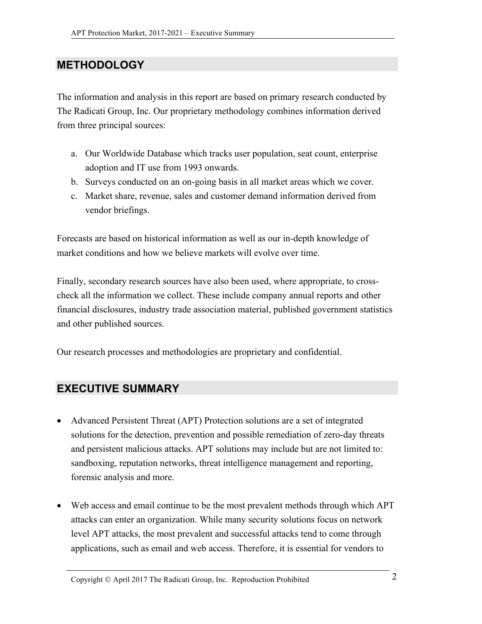### **METHODOLOGY**

The information and analysis in this report are based on primary research conducted by The Radicati Group, Inc. Our proprietary methodology combines information derived from three principal sources:

- a. Our Worldwide Database which tracks user population, seat count, enterprise adoption and IT use from 1993 onwards.
- b. Surveys conducted on an on-going basis in all market areas which we cover.
- c. Market share, revenue, sales and customer demand information derived from vendor briefings.

Forecasts are based on historical information as well as our in-depth knowledge of market conditions and how we believe markets will evolve over time.

Finally, secondary research sources have also been used, where appropriate, to crosscheck all the information we collect. These include company annual reports and other financial disclosures, industry trade association material, published government statistics and other published sources.

Our research processes and methodologies are proprietary and confidential.

#### **EXECUTIVE SUMMARY**

- Advanced Persistent Threat (APT) Protection solutions are a set of integrated solutions for the detection, prevention and possible remediation of zero-day threats and persistent malicious attacks. APT solutions may include but are not limited to: sandboxing, reputation networks, threat intelligence management and reporting, forensic analysis and more.
- Web access and email continue to be the most prevalent methods through which APT attacks can enter an organization. While many security solutions focus on network level APT attacks, the most prevalent and successful attacks tend to come through applications, such as email and web access. Therefore, it is essential for vendors to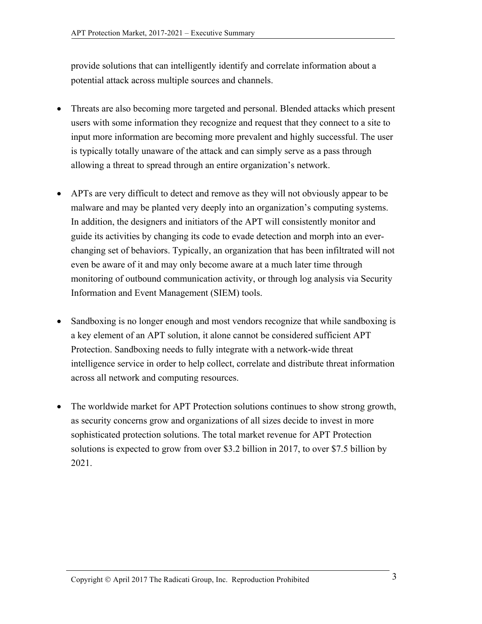provide solutions that can intelligently identify and correlate information about a potential attack across multiple sources and channels.

- Threats are also becoming more targeted and personal. Blended attacks which present users with some information they recognize and request that they connect to a site to input more information are becoming more prevalent and highly successful. The user is typically totally unaware of the attack and can simply serve as a pass through allowing a threat to spread through an entire organization's network.
- APTs are very difficult to detect and remove as they will not obviously appear to be malware and may be planted very deeply into an organization's computing systems. In addition, the designers and initiators of the APT will consistently monitor and guide its activities by changing its code to evade detection and morph into an everchanging set of behaviors. Typically, an organization that has been infiltrated will not even be aware of it and may only become aware at a much later time through monitoring of outbound communication activity, or through log analysis via Security Information and Event Management (SIEM) tools.
- Sandboxing is no longer enough and most vendors recognize that while sandboxing is a key element of an APT solution, it alone cannot be considered sufficient APT Protection. Sandboxing needs to fully integrate with a network-wide threat intelligence service in order to help collect, correlate and distribute threat information across all network and computing resources.
- The worldwide market for APT Protection solutions continues to show strong growth, as security concerns grow and organizations of all sizes decide to invest in more sophisticated protection solutions. The total market revenue for APT Protection solutions is expected to grow from over \$3.2 billion in 2017, to over \$7.5 billion by 2021.